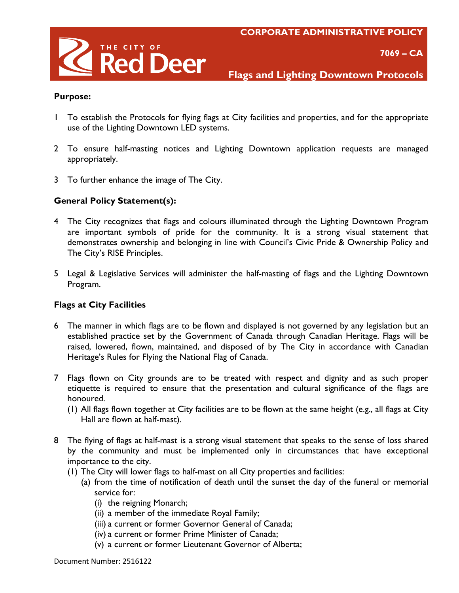

 **7069 – CA**

**Flags and Lighting Downtown Protocols**

#### **Purpose:**

- 1 To establish the Protocols for flying flags at City facilities and properties, and for the appropriate use of the Lighting Downtown LED systems.
- 2 To ensure half-masting notices and Lighting Downtown application requests are managed appropriately.
- 3 To further enhance the image of The City.

## **General Policy Statement(s):**

- 4 The City recognizes that flags and colours illuminated through the Lighting Downtown Program are important symbols of pride for the community. It is a strong visual statement that demonstrates ownership and belonging in line with Council's Civic Pride & Ownership Policy and The City's RISE Principles.
- 5 Legal & Legislative Services will administer the half-masting of flags and the Lighting Downtown Program.

## **Flags at City Facilities**

- 6 The manner in which flags are to be flown and displayed is not governed by any legislation but an established practice set by the Government of Canada through Canadian Heritage. Flags will be raised, lowered, flown, maintained, and disposed of by The City in accordance with Canadian Heritage's Rules for Flying the National Flag of Canada.
- 7 Flags flown on City grounds are to be treated with respect and dignity and as such proper etiquette is required to ensure that the presentation and cultural significance of the flags are honoured.
	- (1) All flags flown together at City facilities are to be flown at the same height (e.g., all flags at City Hall are flown at half-mast).
- 8 The flying of flags at half-mast is a strong visual statement that speaks to the sense of loss shared by the community and must be implemented only in circumstances that have exceptional importance to the city.
	- (1) The City will lower flags to half-mast on all City properties and facilities:
		- (a) from the time of notification of death until the sunset the day of the funeral or memorial service for:
			- (i) the reigning Monarch;
			- (ii) a member of the immediate Royal Family;
			- (iii) a current or former Governor General of Canada;
			- (iv) a current or former Prime Minister of Canada;
			- (v) a current or former Lieutenant Governor of Alberta;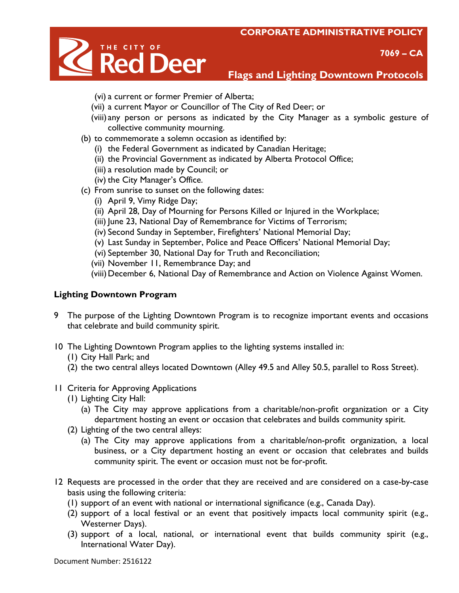



**Flags and Lighting Downtown Protocols**

- (vi) a current or former Premier of Alberta;
- (vii) a current Mayor or Councillor of The City of Red Deer; or
- (viii) any person or persons as indicated by the City Manager as a symbolic gesture of collective community mourning.
- (b) to commemorate a solemn occasion as identified by:
	- (i) the Federal Government as indicated by Canadian Heritage;
	- (ii) the Provincial Government as indicated by Alberta Protocol Office;
	- (iii) a resolution made by Council; or
	- (iv) the City Manager's Office.
- (c) From sunrise to sunset on the following dates:
	- (i) April 9, Vimy Ridge Day;
	- (ii) April 28, Day of Mourning for Persons Killed or Injured in the Workplace;
	- (iii) June 23, National Day of Remembrance for Victims of Terrorism;
	- (iv) Second Sunday in September, Firefighters' National Memorial Day;
	- (v) Last Sunday in September, Police and Peace Officers' National Memorial Day;
	- (vi) September 30, National Day for Truth and Reconciliation;
	- (vii) November 11, Remembrance Day; and
	- (viii)December 6, National Day of Remembrance and Action on Violence Against Women.

# **Lighting Downtown Program**

- 9 The purpose of the Lighting Downtown Program is to recognize important events and occasions that celebrate and build community spirit.
- 10 The Lighting Downtown Program applies to the lighting systems installed in:
	- (1) City Hall Park; and
	- (2) the two central alleys located Downtown (Alley 49.5 and Alley 50.5, parallel to Ross Street).
- 11 Criteria for Approving Applications
	- (1) Lighting City Hall:
		- (a) The City may approve applications from a charitable/non-profit organization or a City department hosting an event or occasion that celebrates and builds community spirit.
	- (2) Lighting of the two central alleys:
		- (a) The City may approve applications from a charitable/non-profit organization, a local business, or a City department hosting an event or occasion that celebrates and builds community spirit. The event or occasion must not be for-profit.
- 12 Requests are processed in the order that they are received and are considered on a case-by-case basis using the following criteria:
	- (1) support of an event with national or international significance (e.g., Canada Day).
	- (2) support of a local festival or an event that positively impacts local community spirit (e.g., Westerner Days).
	- (3) support of a local, national, or international event that builds community spirit (e.g., International Water Day).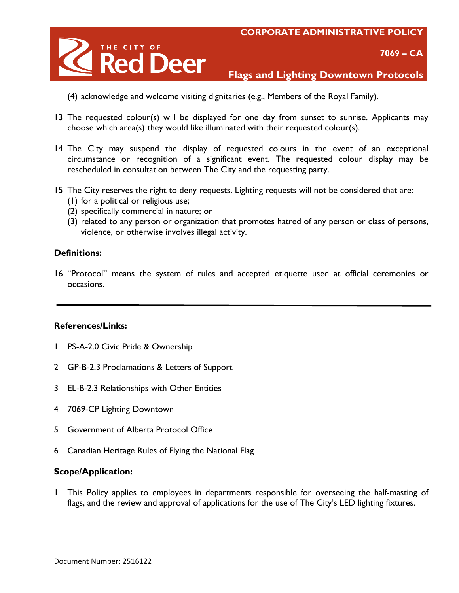

 **7069 – CA**

**Flags and Lighting Downtown Protocols**

- (4) acknowledge and welcome visiting dignitaries (e.g., Members of the Royal Family).
- 13 The requested colour(s) will be displayed for one day from sunset to sunrise. Applicants may choose which area(s) they would like illuminated with their requested colour(s).
- 14 The City may suspend the display of requested colours in the event of an exceptional circumstance or recognition of a significant event. The requested colour display may be rescheduled in consultation between The City and the requesting party.
- 15 The City reserves the right to deny requests. Lighting requests will not be considered that are:
	- (1) for a political or religious use;
	- (2) specifically commercial in nature; or
	- (3) related to any person or organization that promotes hatred of any person or class of persons, violence, or otherwise involves illegal activity.

## **Definitions:**

16 "Protocol" means the system of rules and accepted etiquette used at official ceremonies or occasions.

## **References/Links:**

- 1 PS-A-2.0 Civic Pride & Ownership
- 2 GP-B-2.3 Proclamations & Letters of Support
- 3 EL-B-2.3 Relationships with Other Entities
- 4 7069-CP Lighting Downtown
- 5 Government of Alberta Protocol Office
- 6 Canadian Heritage Rules of Flying the National Flag

## **Scope/Application:**

1 This Policy applies to employees in departments responsible for overseeing the half-masting of flags, and the review and approval of applications for the use of The City's LED lighting fixtures.